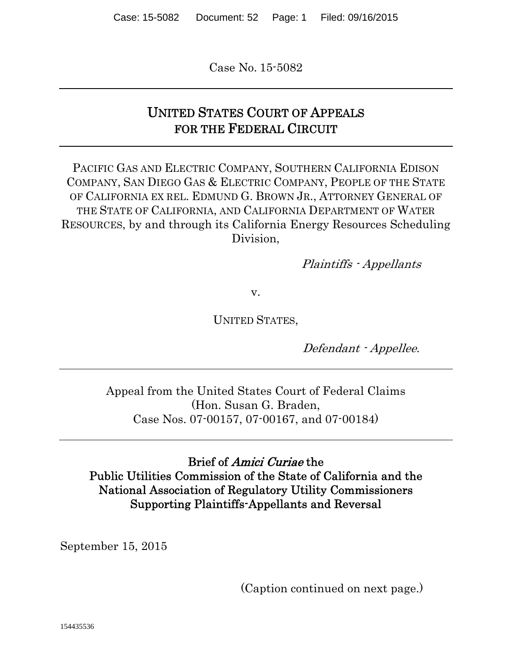Case No. 15-5082

## UNITED STATES COURT OF APPEALS FOR THE FEDERAL CIRCUIT

PACIFIC GAS AND ELECTRIC COMPANY, SOUTHERN CALIFORNIA EDISON COMPANY, SAN DIEGO GAS & ELECTRIC COMPANY, PEOPLE OF THE STATE OF CALIFORNIA EX REL. EDMUND G. BROWN JR., ATTORNEY GENERAL OF THE STATE OF CALIFORNIA, AND CALIFORNIA DEPARTMENT OF WATER RESOURCES, by and through its California Energy Resources Scheduling Division,

Plaintiffs - Appellants

v.

UNITED STATES,

Defendant - Appellee.

Appeal from the United States Court of Federal Claims (Hon. Susan G. Braden, Case Nos. 07-00157, 07-00167, and 07-00184)

#### Brief of Amici Curiae the Public Utilities Commission of the State of California and the National Association of Regulatory Utility Commissioners Supporting Plaintiffs-Appellants and Reversal

September 15, 2015

(Caption continued on next page.)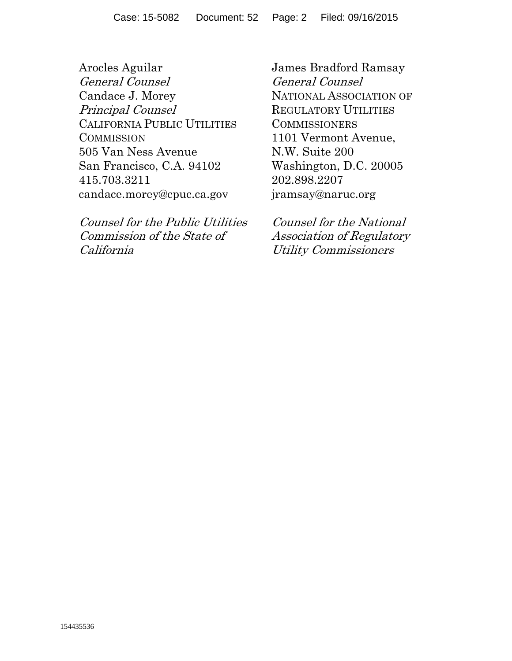Arocles Aguilar General Counsel Candace J. Morey Principal Counsel CALIFORNIA PUBLIC UTILITIES **COMMISSION** 505 Van Ness Avenue San Francisco, C.A. 94102 415.703.3211 candace.morey@cpuc.ca.gov

Counsel for the Public Utilities Commission of the State of California

James Bradford Ramsay General Counsel NATIONAL ASSOCIATION OF REGULATORY UTILITIES **COMMISSIONERS** 1101 Vermont Avenue, N.W. Suite 200 Washington, D.C. 20005 202.898.2207 jramsay@naruc.org

Counsel for the National Association of Regulatory Utility Commissioners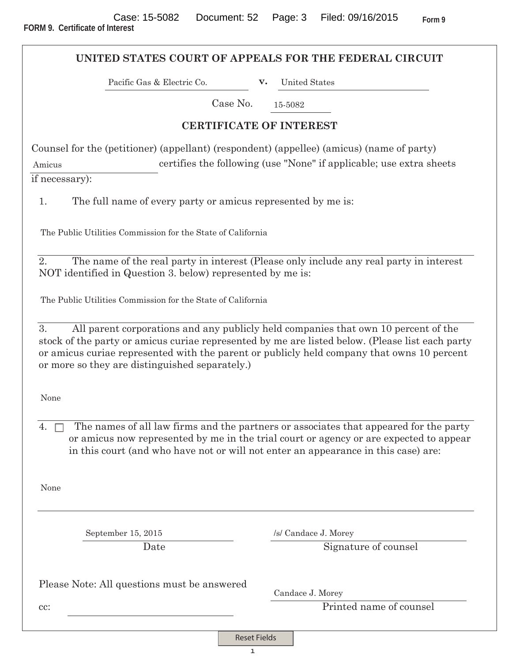|                                                                                                                                                                                                                                                       | UNITED STATES COURT OF APPEALS FOR THE FEDERAL CIRCUIT                                                                                                                          |
|-------------------------------------------------------------------------------------------------------------------------------------------------------------------------------------------------------------------------------------------------------|---------------------------------------------------------------------------------------------------------------------------------------------------------------------------------|
| Pacific Gas & Electric Co.                                                                                                                                                                                                                            | <b>United States</b><br>$\mathbf{v}$ .                                                                                                                                          |
| Case No.                                                                                                                                                                                                                                              | 15-5082                                                                                                                                                                         |
|                                                                                                                                                                                                                                                       | <b>CERTIFICATE OF INTEREST</b>                                                                                                                                                  |
| Counsel for the (petitioner) (appellant) (respondent) (appellee) (amicus) (name of party)<br>Amicus<br>if necessary):                                                                                                                                 | certifies the following (use "None" if applicable; use extra sheets                                                                                                             |
| The full name of every party or amicus represented by me is:<br>1.                                                                                                                                                                                    |                                                                                                                                                                                 |
| The Public Utilities Commission for the State of California                                                                                                                                                                                           |                                                                                                                                                                                 |
| 2.<br>NOT identified in Question 3. below) represented by me is:                                                                                                                                                                                      | The name of the real party in interest (Please only include any real party in interest                                                                                          |
| The Public Utilities Commission for the State of California                                                                                                                                                                                           |                                                                                                                                                                                 |
| 3.<br>stock of the party or amicus curiae represented by me are listed below. (Please list each party<br>or amicus curiae represented with the parent or publicly held company that owns 10 percent<br>or more so they are distinguished separately.) | All parent corporations and any publicly held companies that own 10 percent of the                                                                                              |
| None                                                                                                                                                                                                                                                  |                                                                                                                                                                                 |
| 4.<br>in this court (and who have not or will not enter an appearance in this case) are:                                                                                                                                                              | The names of all law firms and the partners or associates that appeared for the party<br>or amicus now represented by me in the trial court or agency or are expected to appear |
| None                                                                                                                                                                                                                                                  |                                                                                                                                                                                 |
| September 15, 2015                                                                                                                                                                                                                                    | /s/ Candace J. Morey                                                                                                                                                            |
| Date                                                                                                                                                                                                                                                  | Signature of counsel                                                                                                                                                            |
| Please Note: All questions must be answered                                                                                                                                                                                                           | Candace J. Morey                                                                                                                                                                |
| cc:                                                                                                                                                                                                                                                   | Printed name of counsel                                                                                                                                                         |

Reset Fields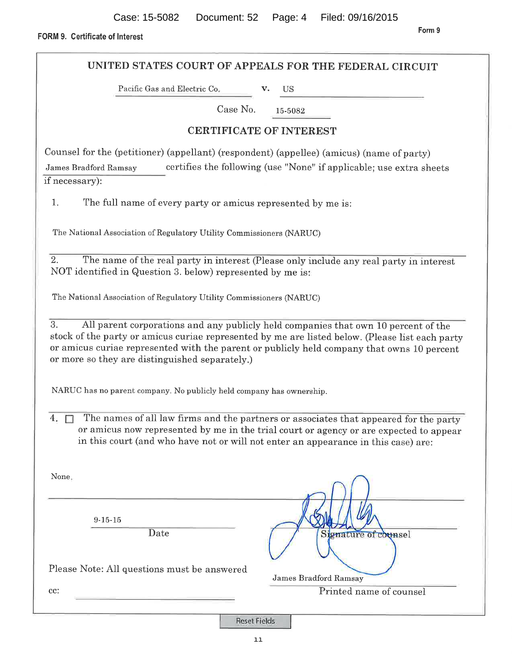Form 9

FORM 9. Certificate of Interest

UNITED STATES COURT OF APPEALS FOR THE FEDERAL CIRCUIT Pacific Gas and Electric Co. **US** Case No. 15-5082 **CERTIFICATE OF INTEREST** Counsel for the (petitioner) (appellant) (respondent) (appellee) (amicus) (name of party) certifies the following (use "None" if applicable; use extra sheets James Bradford Ramsay if necessary):  $1.$ The full name of every party or amicus represented by me is: The National Association of Regulatory Utility Commissioners (NARUC) 2. The name of the real party in interest (Please only include any real party in interest) NOT identified in Question 3. below) represented by me is: The National Association of Regulatory Utility Commissioners (NARUC) 3. All parent corporations and any publicly held companies that own 10 percent of the stock of the party or amicus curiae represented by me are listed below. (Please list each party or amicus curiae represented with the parent or publicly held company that owns 10 percent or more so they are distinguished separately.) NARUC has no parent company. No publicly held company has ownership. The names of all law firms and the partners or associates that appeared for the party 4.  $\Box$ or amicus now represented by me in the trial court or agency or are expected to appear in this court (and who have not or will not enter an appearance in this case) are: None.  $9 - 15 - 15$ Date Signature of counsel Please Note: All questions must be answered James Bradford Ramsay cc: Printed name of counsel

**Reset Fields**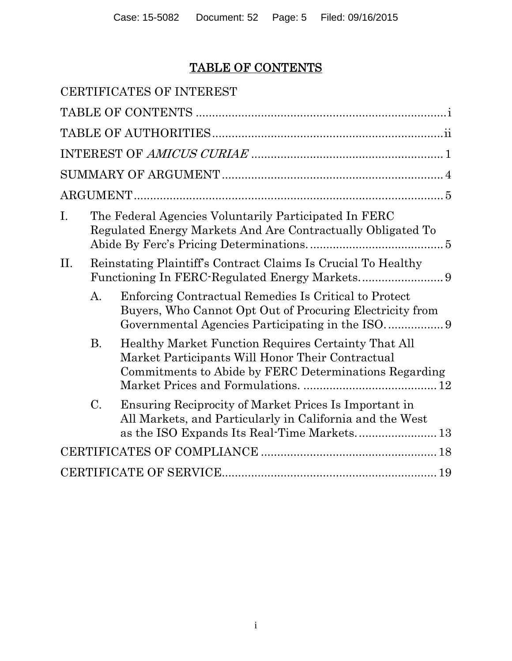# TABLE OF CONTENTS

|                |                                                                                                                      | CERTIFICATES OF INTEREST                                                                                                                                             |  |  |  |
|----------------|----------------------------------------------------------------------------------------------------------------------|----------------------------------------------------------------------------------------------------------------------------------------------------------------------|--|--|--|
|                |                                                                                                                      |                                                                                                                                                                      |  |  |  |
|                |                                                                                                                      |                                                                                                                                                                      |  |  |  |
|                |                                                                                                                      |                                                                                                                                                                      |  |  |  |
|                |                                                                                                                      |                                                                                                                                                                      |  |  |  |
|                |                                                                                                                      |                                                                                                                                                                      |  |  |  |
| $\mathbf{I}$ . | The Federal Agencies Voluntarily Participated In FERC<br>Regulated Energy Markets And Are Contractually Obligated To |                                                                                                                                                                      |  |  |  |
| H.             |                                                                                                                      | Reinstating Plaintiff's Contract Claims Is Crucial To Healthy                                                                                                        |  |  |  |
|                | A.                                                                                                                   | Enforcing Contractual Remedies Is Critical to Protect<br>Buyers, Who Cannot Opt Out of Procuring Electricity from<br>Governmental Agencies Participating in the ISO9 |  |  |  |
|                | <b>B.</b>                                                                                                            | Healthy Market Function Requires Certainty That All<br>Market Participants Will Honor Their Contractual<br>Commitments to Abide by FERC Determinations Regarding     |  |  |  |
|                | $C_{\cdot}$                                                                                                          | Ensuring Reciprocity of Market Prices Is Important in<br>All Markets, and Particularly in California and the West                                                    |  |  |  |
|                |                                                                                                                      |                                                                                                                                                                      |  |  |  |
|                |                                                                                                                      |                                                                                                                                                                      |  |  |  |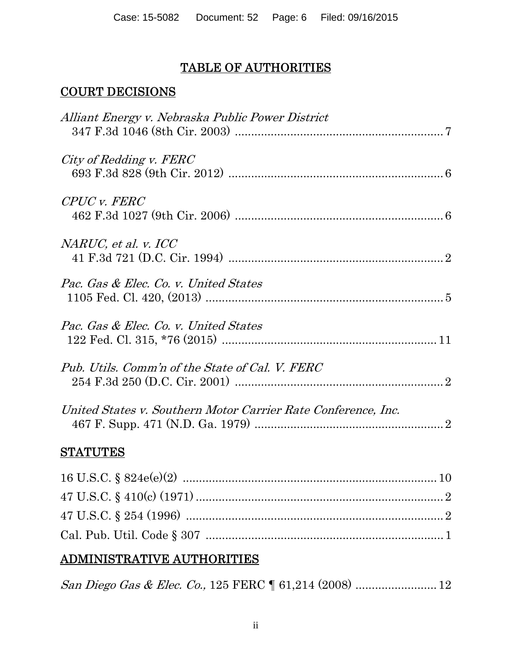## TABLE OF AUTHORITIES

## COURT DECISIONS

| Alliant Energy v. Nebraska Public Power District              |
|---------------------------------------------------------------|
| City of Redding v. FERC                                       |
| CPUC v. FERC                                                  |
| NARUC, et al. v. ICC                                          |
| Pac. Gas & Elec. Co. v. United States                         |
| Pac. Gas & Elec. Co. v. United States                         |
| Pub. Utils. Comm'n of the State of Cal. V. FERC               |
| United States v. Southern Motor Carrier Rate Conference, Inc. |
| <b>STATUTES</b>                                               |
|                                                               |

# ADMINISTRATIVE AUTHORITIES

|--|--|--|--|--|--|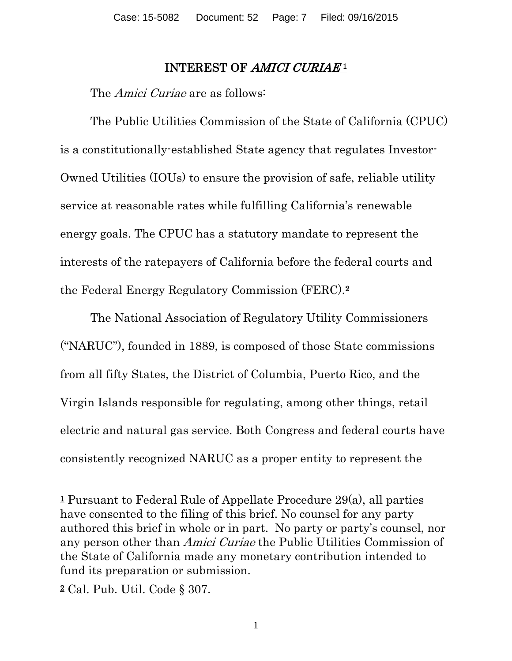#### INTEREST OF AMICI CURIAE<sup>1</sup>

The *Amici Curiae* are as follows:

The Public Utilities Commission of the State of California (CPUC) is a constitutionally-established State agency that regulates Investor-Owned Utilities (IOUs) to ensure the provision of safe, reliable utility service at reasonable rates while fulfilling California's renewable energy goals. The CPUC has a statutory mandate to represent the interests of the ratepayers of California before the federal courts and the Federal Energy Regulatory Commission (FERC).2

The National Association of Regulatory Utility Commissioners ("NARUC"), founded in 1889, is composed of those State commissions from all fifty States, the District of Columbia, Puerto Rico, and the Virgin Islands responsible for regulating, among other things, retail electric and natural gas service. Both Congress and federal courts have consistently recognized NARUC as a proper entity to represent the

 $\overline{a}$ 

<sup>1</sup> Pursuant to Federal Rule of Appellate Procedure 29(a), all parties have consented to the filing of this brief. No counsel for any party authored this brief in whole or in part. No party or party's counsel, nor any person other than Amici Curiae the Public Utilities Commission of the State of California made any monetary contribution intended to fund its preparation or submission.

<sup>2</sup> Cal. Pub. Util. Code § 307.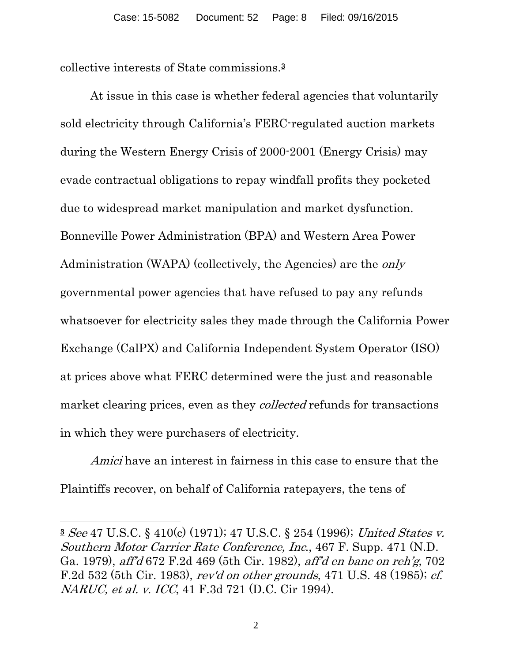collective interests of State commissions.3

At issue in this case is whether federal agencies that voluntarily sold electricity through California's FERC-regulated auction markets during the Western Energy Crisis of 2000-2001 (Energy Crisis) may evade contractual obligations to repay windfall profits they pocketed due to widespread market manipulation and market dysfunction. Bonneville Power Administration (BPA) and Western Area Power Administration (WAPA) (collectively, the Agencies) are the only governmental power agencies that have refused to pay any refunds whatsoever for electricity sales they made through the California Power Exchange (CalPX) and California Independent System Operator (ISO) at prices above what FERC determined were the just and reasonable market clearing prices, even as they *collected* refunds for transactions in which they were purchasers of electricity.

Amici have an interest in fairness in this case to ensure that the Plaintiffs recover, on behalf of California ratepayers, the tens of

 $\overline{a}$ 

<sup>3</sup> See 47 U.S.C. § 410(c) (1971); 47 U.S.C. § 254 (1996); United States v. Southern Motor Carrier Rate Conference, Inc., 467 F. Supp. 471 (N.D. Ga. 1979), aff'd 672 F.2d 469 (5th Cir. 1982), aff'd en banc on reh'g, 702 F.2d 532 (5th Cir. 1983), rev'd on other grounds, 471 U.S. 48 (1985); cf. NARUC, et al. v. ICC, 41 F.3d 721 (D.C. Cir 1994).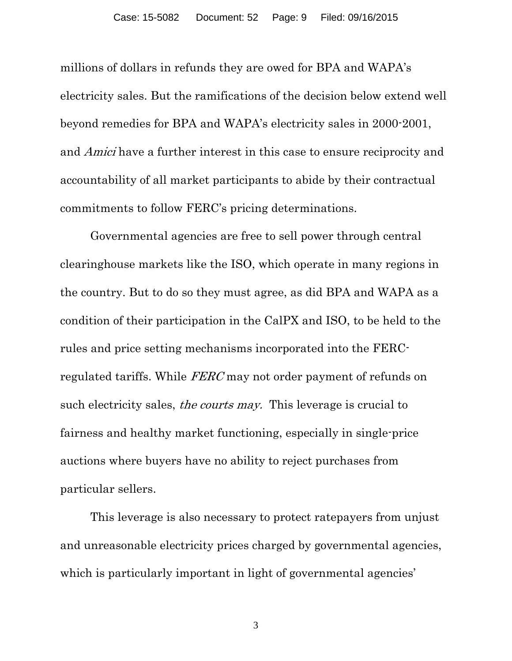millions of dollars in refunds they are owed for BPA and WAPA's electricity sales. But the ramifications of the decision below extend well beyond remedies for BPA and WAPA's electricity sales in 2000-2001, and Amici have a further interest in this case to ensure reciprocity and accountability of all market participants to abide by their contractual commitments to follow FERC's pricing determinations.

Governmental agencies are free to sell power through central clearinghouse markets like the ISO, which operate in many regions in the country. But to do so they must agree, as did BPA and WAPA as a condition of their participation in the CalPX and ISO, to be held to the rules and price setting mechanisms incorporated into the FERCregulated tariffs. While FERC may not order payment of refunds on such electricity sales, *the courts may*. This leverage is crucial to fairness and healthy market functioning, especially in single-price auctions where buyers have no ability to reject purchases from particular sellers.

This leverage is also necessary to protect ratepayers from unjust and unreasonable electricity prices charged by governmental agencies, which is particularly important in light of governmental agencies'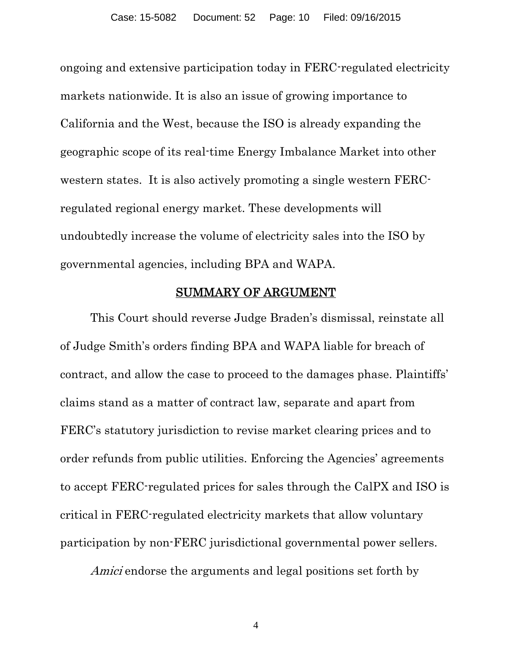ongoing and extensive participation today in FERC-regulated electricity markets nationwide. It is also an issue of growing importance to California and the West, because the ISO is already expanding the geographic scope of its real-time Energy Imbalance Market into other western states. It is also actively promoting a single western FERCregulated regional energy market. These developments will undoubtedly increase the volume of electricity sales into the ISO by governmental agencies, including BPA and WAPA.

#### SUMMARY OF ARGUMENT

This Court should reverse Judge Braden's dismissal, reinstate all of Judge Smith's orders finding BPA and WAPA liable for breach of contract, and allow the case to proceed to the damages phase. Plaintiffs' claims stand as a matter of contract law, separate and apart from FERC's statutory jurisdiction to revise market clearing prices and to order refunds from public utilities. Enforcing the Agencies' agreements to accept FERC-regulated prices for sales through the CalPX and ISO is critical in FERC-regulated electricity markets that allow voluntary participation by non-FERC jurisdictional governmental power sellers.

Amici endorse the arguments and legal positions set forth by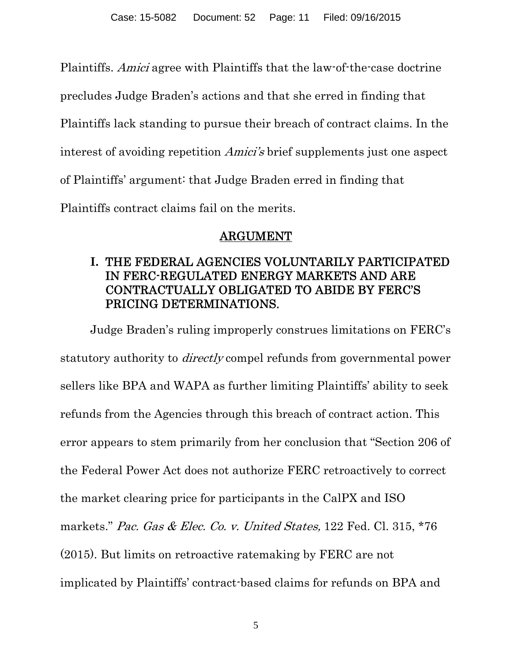Plaintiffs. Amici agree with Plaintiffs that the law-of-the-case doctrine

precludes Judge Braden's actions and that she erred in finding that

Plaintiffs lack standing to pursue their breach of contract claims. In the

interest of avoiding repetition Amici's brief supplements just one aspect

of Plaintiffs' argument: that Judge Braden erred in finding that

Plaintiffs contract claims fail on the merits.

## ARGUMENT

## **I.** THE FEDERAL AGENCIES VOLUNTARILY PARTICIPATED IN FERC-REGULATED ENERGY MARKETS AND ARE CONTRACTUALLY OBLIGATED TO ABIDE BY FERC'S PRICING DETERMINATIONS.

Judge Braden's ruling improperly construes limitations on FERC's statutory authority to directly compel refunds from governmental power sellers like BPA and WAPA as further limiting Plaintiffs' ability to seek refunds from the Agencies through this breach of contract action. This error appears to stem primarily from her conclusion that "Section 206 of the Federal Power Act does not authorize FERC retroactively to correct the market clearing price for participants in the CalPX and ISO markets." Pac. Gas & Elec. Co. v. United States, 122 Fed. Cl. 315, \*76 (2015). But limits on retroactive ratemaking by FERC are not implicated by Plaintiffs' contract-based claims for refunds on BPA and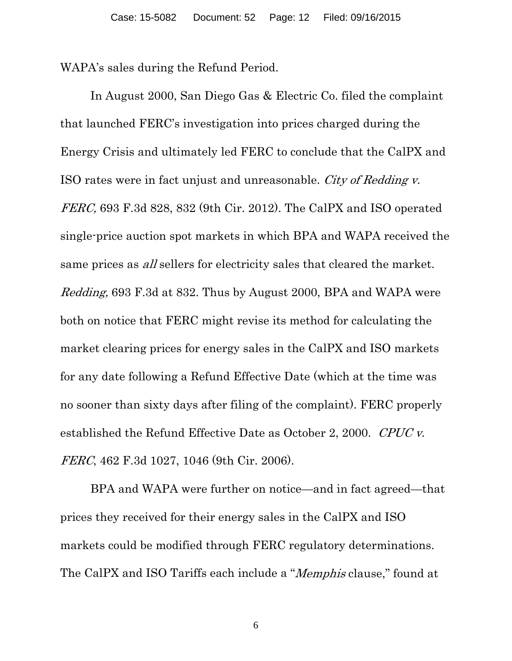WAPA's sales during the Refund Period.

In August 2000, San Diego Gas & Electric Co. filed the complaint that launched FERC's investigation into prices charged during the Energy Crisis and ultimately led FERC to conclude that the CalPX and ISO rates were in fact unjust and unreasonable. City of Redding v. FERC, 693 F.3d 828, 832 (9th Cir. 2012). The CalPX and ISO operated single-price auction spot markets in which BPA and WAPA received the same prices as *all* sellers for electricity sales that cleared the market. Redding, 693 F.3d at 832. Thus by August 2000, BPA and WAPA were both on notice that FERC might revise its method for calculating the market clearing prices for energy sales in the CalPX and ISO markets for any date following a Refund Effective Date (which at the time was no sooner than sixty days after filing of the complaint). FERC properly established the Refund Effective Date as October 2, 2000. CPUC v. FERC, 462 F.3d 1027, 1046 (9th Cir. 2006).

BPA and WAPA were further on notice—and in fact agreed—that prices they received for their energy sales in the CalPX and ISO markets could be modified through FERC regulatory determinations. The CalPX and ISO Tariffs each include a "Memphis clause," found at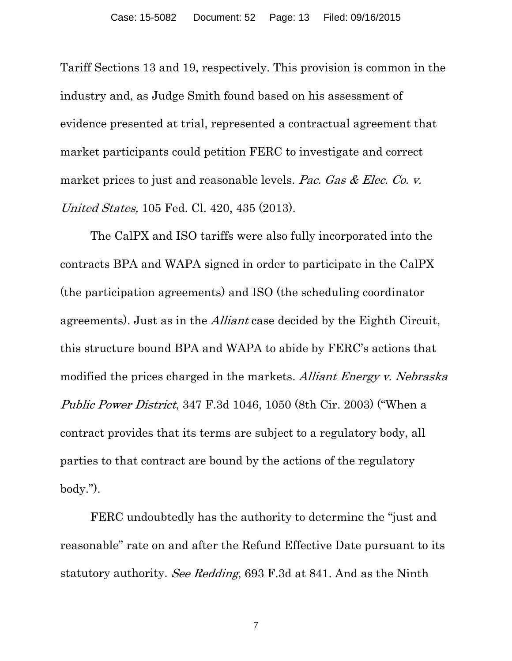Tariff Sections 13 and 19, respectively. This provision is common in the industry and, as Judge Smith found based on his assessment of evidence presented at trial, represented a contractual agreement that market participants could petition FERC to investigate and correct market prices to just and reasonable levels. Pac. Gas & Elec. Co. v. United States, 105 Fed. Cl. 420, 435 (2013).

The CalPX and ISO tariffs were also fully incorporated into the contracts BPA and WAPA signed in order to participate in the CalPX (the participation agreements) and ISO (the scheduling coordinator agreements). Just as in the Alliant case decided by the Eighth Circuit, this structure bound BPA and WAPA to abide by FERC's actions that modified the prices charged in the markets. Alliant Energy v. Nebraska Public Power District, 347 F.3d 1046, 1050 (8th Cir. 2003) ("When a contract provides that its terms are subject to a regulatory body, all parties to that contract are bound by the actions of the regulatory body.").

FERC undoubtedly has the authority to determine the "just and reasonable" rate on and after the Refund Effective Date pursuant to its statutory authority. See Redding, 693 F.3d at 841. And as the Ninth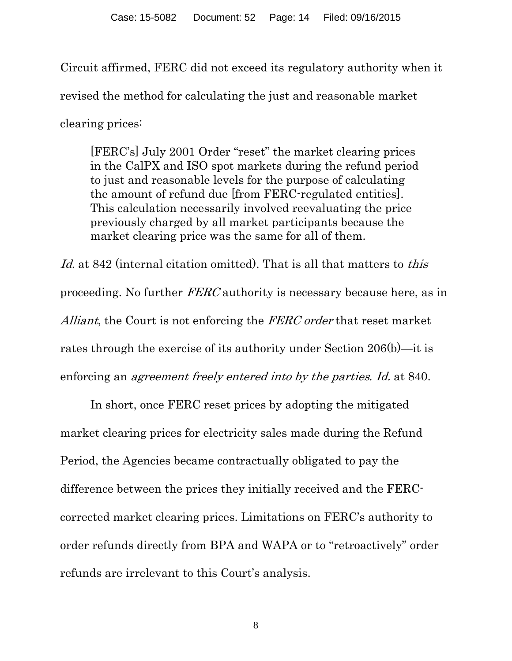Circuit affirmed, FERC did not exceed its regulatory authority when it revised the method for calculating the just and reasonable market clearing prices:

[FERC's] July 2001 Order "reset" the market clearing prices in the CalPX and ISO spot markets during the refund period to just and reasonable levels for the purpose of calculating the amount of refund due [from FERC-regulated entities]. This calculation necessarily involved reevaluating the price previously charged by all market participants because the market clearing price was the same for all of them.

Id. at 842 (internal citation omitted). That is all that matters to *this* proceeding. No further FERC authority is necessary because here, as in Alliant, the Court is not enforcing the FERC order that reset market rates through the exercise of its authority under Section 206(b)—it is enforcing an agreement freely entered into by the parties. Id. at 840.

In short, once FERC reset prices by adopting the mitigated market clearing prices for electricity sales made during the Refund Period, the Agencies became contractually obligated to pay the difference between the prices they initially received and the FERCcorrected market clearing prices. Limitations on FERC's authority to order refunds directly from BPA and WAPA or to "retroactively" order refunds are irrelevant to this Court's analysis.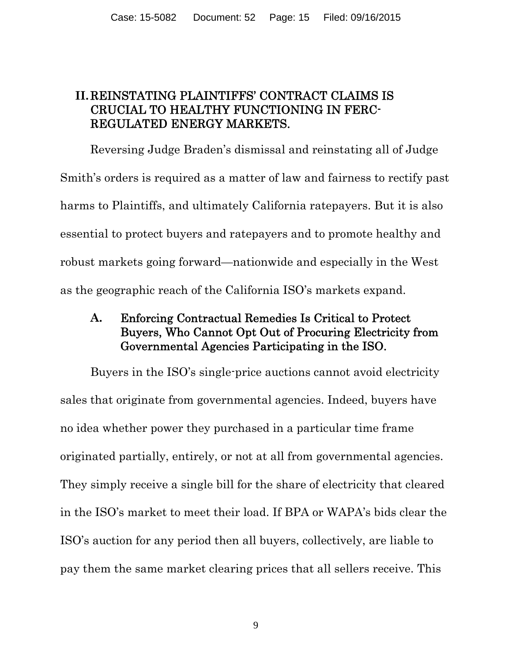### **II.**REINSTATING PLAINTIFFS' CONTRACT CLAIMS IS CRUCIAL TO HEALTHY FUNCTIONING IN FERC-REGULATED ENERGY MARKETS.

Reversing Judge Braden's dismissal and reinstating all of Judge Smith's orders is required as a matter of law and fairness to rectify past harms to Plaintiffs, and ultimately California ratepayers. But it is also essential to protect buyers and ratepayers and to promote healthy and robust markets going forward—nationwide and especially in the West as the geographic reach of the California ISO's markets expand.

### **A.** Enforcing Contractual Remedies Is Critical to Protect Buyers, Who Cannot Opt Out of Procuring Electricity from Governmental Agencies Participating in the ISO.

Buyers in the ISO's single-price auctions cannot avoid electricity sales that originate from governmental agencies. Indeed, buyers have no idea whether power they purchased in a particular time frame originated partially, entirely, or not at all from governmental agencies. They simply receive a single bill for the share of electricity that cleared in the ISO's market to meet their load. If BPA or WAPA's bids clear the ISO's auction for any period then all buyers, collectively, are liable to pay them the same market clearing prices that all sellers receive. This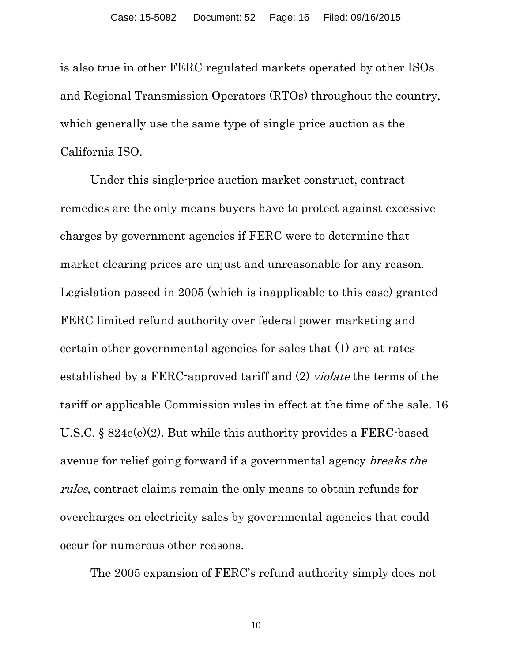is also true in other FERC-regulated markets operated by other ISOs and Regional Transmission Operators (RTOs) throughout the country, which generally use the same type of single-price auction as the California ISO.

Under this single-price auction market construct, contract remedies are the only means buyers have to protect against excessive charges by government agencies if FERC were to determine that market clearing prices are unjust and unreasonable for any reason. Legislation passed in 2005 (which is inapplicable to this case) granted FERC limited refund authority over federal power marketing and certain other governmental agencies for sales that (1) are at rates established by a FERC-approved tariff and (2) violate the terms of the tariff or applicable Commission rules in effect at the time of the sale. 16 U.S.C. § 824e(e)(2). But while this authority provides a FERC-based avenue for relief going forward if a governmental agency breaks the rules, contract claims remain the only means to obtain refunds for overcharges on electricity sales by governmental agencies that could occur for numerous other reasons.

The 2005 expansion of FERC's refund authority simply does not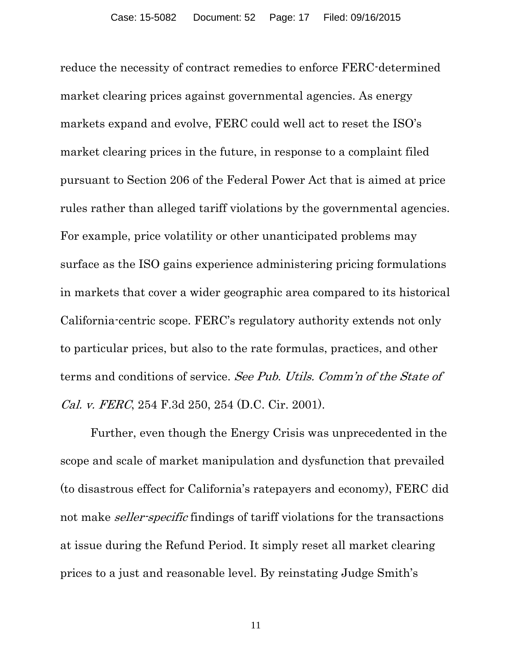reduce the necessity of contract remedies to enforce FERC-determined market clearing prices against governmental agencies. As energy markets expand and evolve, FERC could well act to reset the ISO's market clearing prices in the future, in response to a complaint filed pursuant to Section 206 of the Federal Power Act that is aimed at price rules rather than alleged tariff violations by the governmental agencies. For example, price volatility or other unanticipated problems may surface as the ISO gains experience administering pricing formulations in markets that cover a wider geographic area compared to its historical California-centric scope. FERC's regulatory authority extends not only to particular prices, but also to the rate formulas, practices, and other terms and conditions of service. See Pub. Utils. Comm'n of the State of Cal. v. FERC, 254 F.3d 250, 254 (D.C. Cir. 2001).

Further, even though the Energy Crisis was unprecedented in the scope and scale of market manipulation and dysfunction that prevailed (to disastrous effect for California's ratepayers and economy), FERC did not make seller-specific findings of tariff violations for the transactions at issue during the Refund Period. It simply reset all market clearing prices to a just and reasonable level. By reinstating Judge Smith's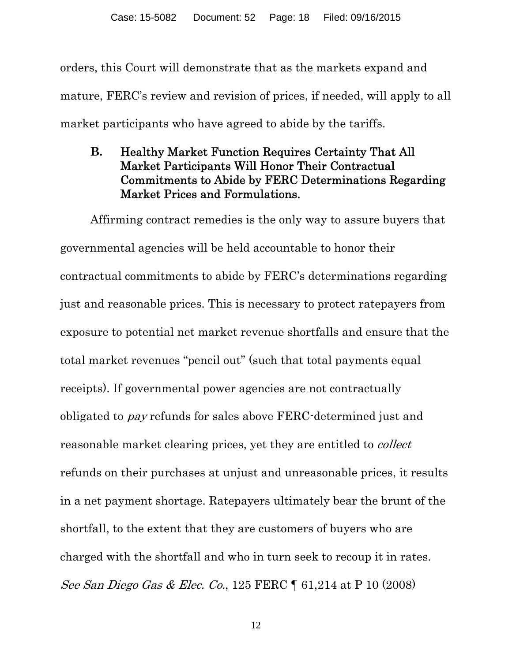orders, this Court will demonstrate that as the markets expand and mature, FERC's review and revision of prices, if needed, will apply to all market participants who have agreed to abide by the tariffs.

**B.** Healthy Market Function Requires Certainty That All Market Participants Will Honor Their Contractual Commitments to Abide by FERC Determinations Regarding Market Prices and Formulations.

Affirming contract remedies is the only way to assure buyers that governmental agencies will be held accountable to honor their contractual commitments to abide by FERC's determinations regarding just and reasonable prices. This is necessary to protect ratepayers from exposure to potential net market revenue shortfalls and ensure that the total market revenues "pencil out" (such that total payments equal receipts). If governmental power agencies are not contractually obligated to pay refunds for sales above FERC-determined just and reasonable market clearing prices, yet they are entitled to collect refunds on their purchases at unjust and unreasonable prices, it results in a net payment shortage. Ratepayers ultimately bear the brunt of the shortfall, to the extent that they are customers of buyers who are charged with the shortfall and who in turn seek to recoup it in rates. See San Diego Gas & Elec. Co., 125 FERC ¶ 61,214 at P 10 (2008)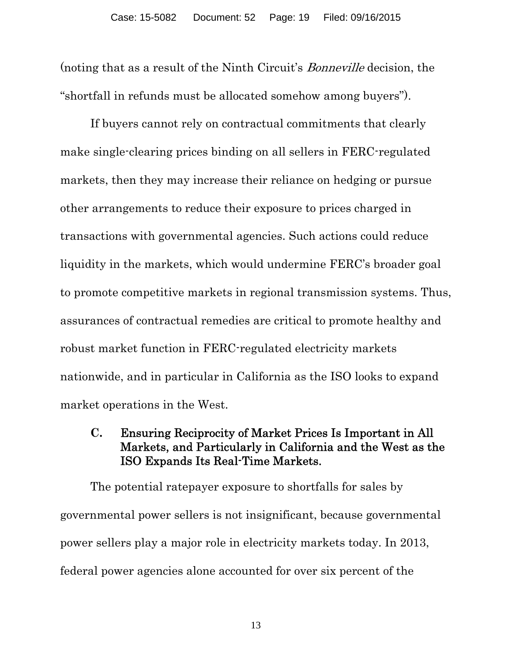(noting that as a result of the Ninth Circuit's Bonneville decision, the "shortfall in refunds must be allocated somehow among buyers").

If buyers cannot rely on contractual commitments that clearly make single-clearing prices binding on all sellers in FERC-regulated markets, then they may increase their reliance on hedging or pursue other arrangements to reduce their exposure to prices charged in transactions with governmental agencies. Such actions could reduce liquidity in the markets, which would undermine FERC's broader goal to promote competitive markets in regional transmission systems. Thus, assurances of contractual remedies are critical to promote healthy and robust market function in FERC-regulated electricity markets nationwide, and in particular in California as the ISO looks to expand market operations in the West.

#### **C.** Ensuring Reciprocity of Market Prices Is Important in All Markets, and Particularly in California and the West as the ISO Expands Its Real-Time Markets.

The potential ratepayer exposure to shortfalls for sales by governmental power sellers is not insignificant, because governmental power sellers play a major role in electricity markets today. In 2013, federal power agencies alone accounted for over six percent of the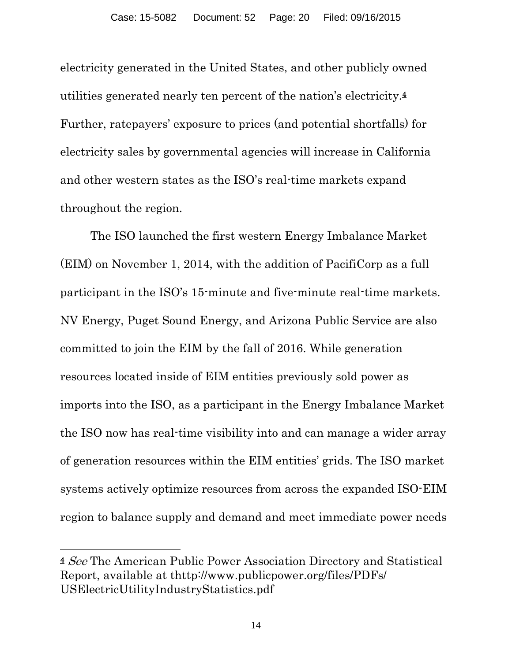electricity generated in the United States, and other publicly owned utilities generated nearly ten percent of the nation's electricity.4 Further, ratepayers' exposure to prices (and potential shortfalls) for electricity sales by governmental agencies will increase in California and other western states as the ISO's real-time markets expand throughout the region.

The ISO launched the first western Energy Imbalance Market (EIM) on November 1, 2014, with the addition of PacifiCorp as a full participant in the ISO's 15-minute and five-minute real-time markets. NV Energy, Puget Sound Energy, and Arizona Public Service are also committed to join the EIM by the fall of 2016. While generation resources located inside of EIM entities previously sold power as imports into the ISO, as a participant in the Energy Imbalance Market the ISO now has real-time visibility into and can manage a wider array of generation resources within the EIM entities' grids. The ISO market systems actively optimize resources from across the expanded ISO-EIM region to balance supply and demand and meet immediate power needs

 $\overline{a}$ 

<sup>4</sup> See The American Public Power Association Directory and Statistical Report, available at thttp://www.publicpower.org/files/PDFs/ USElectricUtilityIndustryStatistics.pdf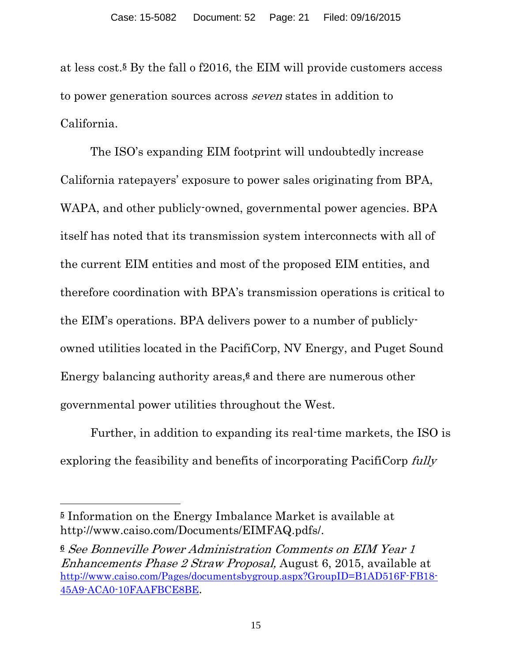at less cost.5 By the fall o f2016, the EIM will provide customers access to power generation sources across seven states in addition to California.

The ISO's expanding EIM footprint will undoubtedly increase California ratepayers' exposure to power sales originating from BPA, WAPA, and other publicly-owned, governmental power agencies. BPA itself has noted that its transmission system interconnects with all of the current EIM entities and most of the proposed EIM entities, and therefore coordination with BPA's transmission operations is critical to the EIM's operations. BPA delivers power to a number of publiclyowned utilities located in the PacifiCorp, NV Energy, and Puget Sound Energy balancing authority areas, $6$  and there are numerous other governmental power utilities throughout the West.

Further, in addition to expanding its real-time markets, the ISO is exploring the feasibility and benefits of incorporating PacifiCorp fully

 $\overline{a}$ 

<sup>5</sup> Information on the Energy Imbalance Market is available at http://www.caiso.com/Documents/EIMFAQ.pdfs/.

<sup>6</sup> See Bonneville Power Administration Comments on EIM Year 1 Enhancements Phase 2 Straw Proposal, August 6, 2015, available at http://www.caiso.com/Pages/documentsbygroup.aspx?GroupID=B1AD516F-FB18- 45A9-ACA0-10FAAFBCE8BE.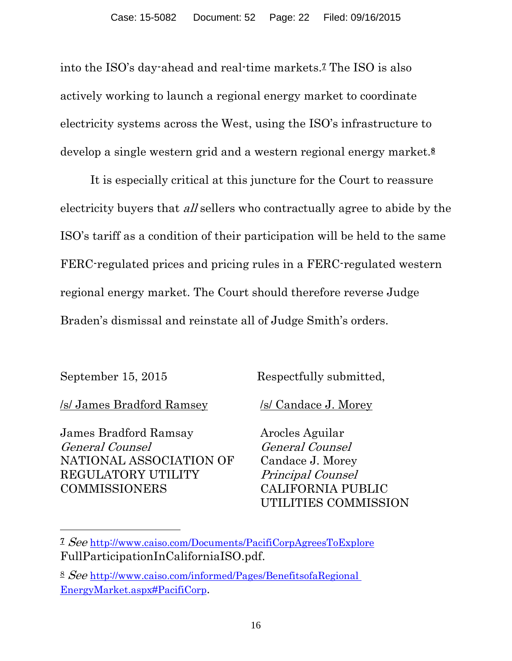into the ISO's day-ahead and real-time markets.7 The ISO is also actively working to launch a regional energy market to coordinate electricity systems across the West, using the ISO's infrastructure to develop a single western grid and a western regional energy market.<sup>8</sup>

It is especially critical at this juncture for the Court to reassure electricity buyers that *all* sellers who contractually agree to abide by the ISO's tariff as a condition of their participation will be held to the same FERC-regulated prices and pricing rules in a FERC-regulated western regional energy market. The Court should therefore reverse Judge Braden's dismissal and reinstate all of Judge Smith's orders.

 $\overline{a}$ 

September 15, 2015 Respectfully submitted,

/s/ James Bradford Ramsey /s/ Candace J. Morey

James Bradford Ramsay General Counsel NATIONAL ASSOCIATION OF REGULATORY UTILITY COMMISSIONERS

Arocles Aguilar General Counsel Candace J. Morey Principal Counsel CALIFORNIA PUBLIC UTILITIES COMMISSION

<sup>7</sup> See http://www.caiso.com/Documents/PacifiCorpAgreesToExplore FullParticipationInCaliforniaISO.pdf.

<sup>8</sup> See http://www.caiso.com/informed/Pages/BenefitsofaRegional EnergyMarket.aspx#PacifiCorp.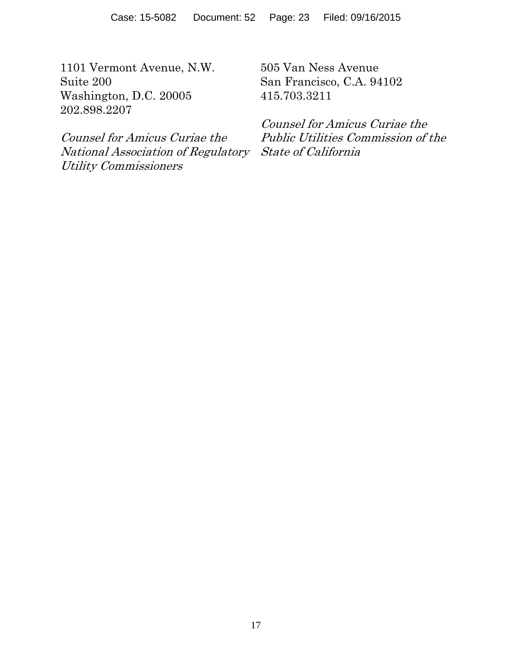1101 Vermont Avenue, N.W. Suite 200 Washington, D.C. 20005 202.898.2207

Counsel for Amicus Curiae the National Association of Regulatory State of California Utility Commissioners

505 Van Ness Avenue San Francisco, C.A. 94102 415.703.3211

Counsel for Amicus Curiae the Public Utilities Commission of the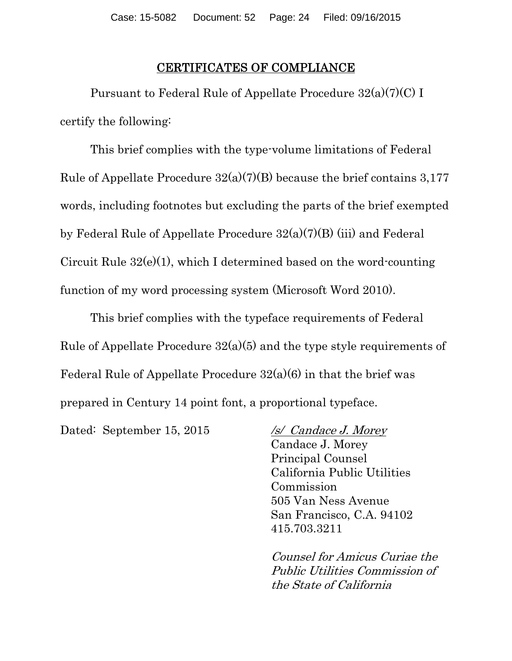#### CERTIFICATES OF COMPLIANCE

Pursuant to Federal Rule of Appellate Procedure 32(a)(7)(C) I certify the following:

This brief complies with the type-volume limitations of Federal Rule of Appellate Procedure  $32(a)(7)(B)$  because the brief contains 3,177 words, including footnotes but excluding the parts of the brief exempted by Federal Rule of Appellate Procedure  $32(a)(7)(B)$  (iii) and Federal Circuit Rule  $32(e)(1)$ , which I determined based on the word-counting function of my word processing system (Microsoft Word 2010).

This brief complies with the typeface requirements of Federal Rule of Appellate Procedure  $32(a)(5)$  and the type style requirements of Federal Rule of Appellate Procedure  $32(a)(6)$  in that the brief was prepared in Century 14 point font, a proportional typeface.

Dated: September 15, 2015 /s/ Candace J. Morey

 Candace J. Morey Principal Counsel California Public Utilities Commission 505 Van Ness Avenue San Francisco, C.A. 94102 415.703.3211

Counsel for Amicus Curiae the Public Utilities Commission of the State of California